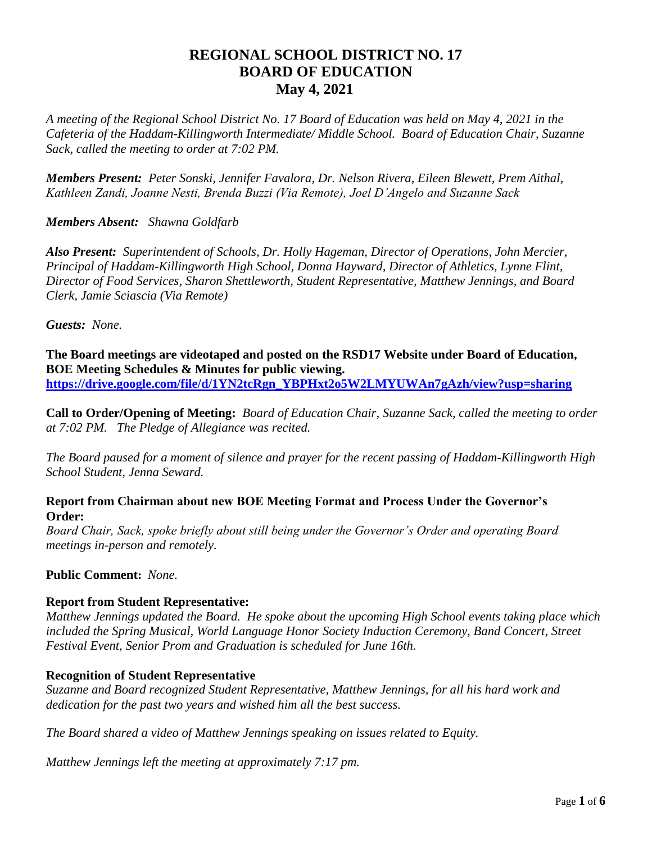# **REGIONAL SCHOOL DISTRICT NO. 17 BOARD OF EDUCATION May 4, 2021**

*A meeting of the Regional School District No. 17 Board of Education was held on May 4, 2021 in the Cafeteria of the Haddam-Killingworth Intermediate/ Middle School. Board of Education Chair, Suzanne Sack, called the meeting to order at 7:02 PM.*

*Members Present: Peter Sonski, Jennifer Favalora, Dr. Nelson Rivera, Eileen Blewett, Prem Aithal, Kathleen Zandi, Joanne Nesti, Brenda Buzzi (Via Remote), Joel D'Angelo and Suzanne Sack*

#### *Members Absent: Shawna Goldfarb*

*Also Present: Superintendent of Schools, Dr. Holly Hageman, Director of Operations, John Mercier, Principal of Haddam-Killingworth High School, Donna Hayward, Director of Athletics, Lynne Flint, Director of Food Services, Sharon Shettleworth, Student Representative, Matthew Jennings, and Board Clerk, Jamie Sciascia (Via Remote)*

*Guests: None.*

**The Board meetings are videotaped and posted on the RSD17 Website under Board of Education, BOE Meeting Schedules & Minutes for public viewing. [https://drive.google.com/file/d/1YN2tcRgn\\_YBPHxt2o5W2LMYUWAn7gAzh/view?usp=sharing](https://drive.google.com/file/d/1YN2tcRgn_YBPHxt2o5W2LMYUWAn7gAzh/view?usp=sharing)**

**Call to Order/Opening of Meeting:** *Board of Education Chair, Suzanne Sack, called the meeting to order at 7:02 PM. The Pledge of Allegiance was recited.*

*The Board paused for a moment of silence and prayer for the recent passing of Haddam-Killingworth High School Student, Jenna Seward.*

#### **Report from Chairman about new BOE Meeting Format and Process Under the Governor's Order:**

*Board Chair, Sack, spoke briefly about still being under the Governor's Order and operating Board meetings in-person and remotely.*

**Public Comment:** *None.*

#### **Report from Student Representative:**

*Matthew Jennings updated the Board. He spoke about the upcoming High School events taking place which included the Spring Musical, World Language Honor Society Induction Ceremony, Band Concert, Street Festival Event, Senior Prom and Graduation is scheduled for June 16th.*

#### **Recognition of Student Representative**

*Suzanne and Board recognized Student Representative, Matthew Jennings, for all his hard work and dedication for the past two years and wished him all the best success.*

*The Board shared a video of Matthew Jennings speaking on issues related to Equity.*

*Matthew Jennings left the meeting at approximately 7:17 pm.*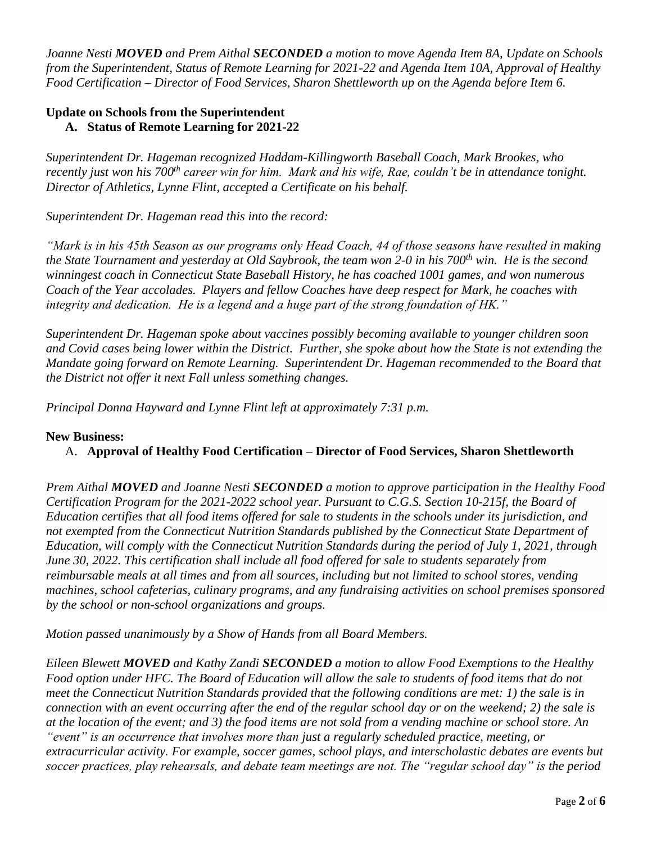*Joanne Nesti MOVED and Prem Aithal SECONDED a motion to move Agenda Item 8A, Update on Schools from the Superintendent, Status of Remote Learning for 2021-22 and Agenda Item 10A, Approval of Healthy Food Certification – Director of Food Services, Sharon Shettleworth up on the Agenda before Item 6.*

### **Update on Schools from the Superintendent A. Status of Remote Learning for 2021-22**

*Superintendent Dr. Hageman recognized Haddam-Killingworth Baseball Coach, Mark Brookes, who recently just won his 700th career win for him. Mark and his wife, Rae, couldn't be in attendance tonight. Director of Athletics, Lynne Flint, accepted a Certificate on his behalf.*

*Superintendent Dr. Hageman read this into the record:* 

*"Mark is in his 45th Season as our programs only Head Coach, 44 of those seasons have resulted in making the State Tournament and yesterday at Old Saybrook, the team won 2-0 in his 700th win. He is the second winningest coach in Connecticut State Baseball History, he has coached 1001 games, and won numerous Coach of the Year accolades. Players and fellow Coaches have deep respect for Mark, he coaches with integrity and dedication. He is a legend and a huge part of the strong foundation of HK."*

*Superintendent Dr. Hageman spoke about vaccines possibly becoming available to younger children soon and Covid cases being lower within the District. Further, she spoke about how the State is not extending the Mandate going forward on Remote Learning. Superintendent Dr. Hageman recommended to the Board that the District not offer it next Fall unless something changes.*

*Principal Donna Hayward and Lynne Flint left at approximately 7:31 p.m.*

### **New Business:**

## A. **Approval of Healthy Food Certification – Director of Food Services, Sharon Shettleworth**

*Prem Aithal MOVED and Joanne Nesti SECONDED a motion to approve participation in the Healthy Food Certification Program for the 2021-2022 school year. Pursuant to C.G.S. Section 10-215f, the Board of Education certifies that all food items offered for sale to students in the schools under its jurisdiction, and not exempted from the Connecticut Nutrition Standards published by the Connecticut State Department of Education, will comply with the Connecticut Nutrition Standards during the period of July 1, 2021, through June 30, 2022. This certification shall include all food offered for sale to students separately from reimbursable meals at all times and from all sources, including but not limited to school stores, vending machines, school cafeterias, culinary programs, and any fundraising activities on school premises sponsored by the school or non-school organizations and groups.* 

*Motion passed unanimously by a Show of Hands from all Board Members.*

*Eileen Blewett MOVED and Kathy Zandi SECONDED a motion to allow Food Exemptions to the Healthy Food option under HFC. The Board of Education will allow the sale to students of food items that do not meet the Connecticut Nutrition Standards provided that the following conditions are met: 1) the sale is in connection with an event occurring after the end of the regular school day or on the weekend; 2) the sale is at the location of the event; and 3) the food items are not sold from a vending machine or school store. An "event" is an occurrence that involves more than just a regularly scheduled practice, meeting, or extracurricular activity. For example, soccer games, school plays, and interscholastic debates are events but soccer practices, play rehearsals, and debate team meetings are not. The "regular school day" is the period*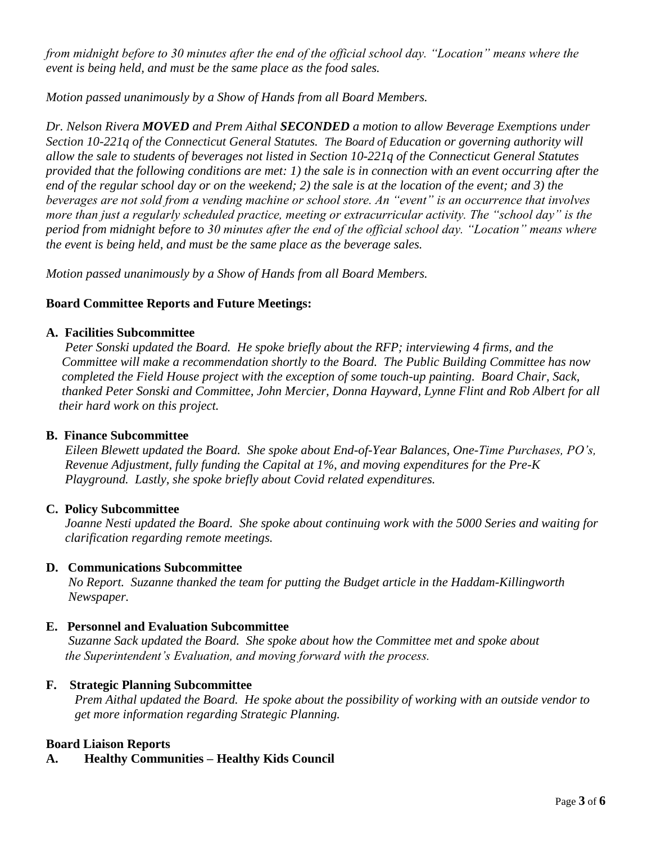*from midnight before to 30 minutes after the end of the official school day. "Location" means where the event is being held, and must be the same place as the food sales.*

*Motion passed unanimously by a Show of Hands from all Board Members.*

*Dr. Nelson Rivera MOVED and Prem Aithal SECONDED a motion to allow Beverage Exemptions under Section 10-221q of the Connecticut General Statutes. The Board of Education or governing authority will allow the sale to students of beverages not listed in Section 10-221q of the Connecticut General Statutes provided that the following conditions are met: 1) the sale is in connection with an event occurring after the end of the regular school day or on the weekend; 2) the sale is at the location of the event; and 3) the beverages are not sold from a vending machine or school store. An "event" is an occurrence that involves more than just a regularly scheduled practice, meeting or extracurricular activity. The "school day" is the period from midnight before to 30 minutes after the end of the official school day. "Location" means where the event is being held, and must be the same place as the beverage sales.* 

*Motion passed unanimously by a Show of Hands from all Board Members.*

## **Board Committee Reports and Future Meetings:**

### **A. Facilities Subcommittee**

 *Peter Sonski updated the Board. He spoke briefly about the RFP; interviewing 4 firms, and the Committee will make a recommendation shortly to the Board. The Public Building Committee has now completed the Field House project with the exception of some touch-up painting. Board Chair, Sack, thanked Peter Sonski and Committee, John Mercier, Donna Hayward, Lynne Flint and Rob Albert for all their hard work on this project.*

### **B. Finance Subcommittee**

*Eileen Blewett updated the Board. She spoke about End-of-Year Balances, One-Time Purchases, PO's, Revenue Adjustment, fully funding the Capital at 1%, and moving expenditures for the Pre-K Playground. Lastly, she spoke briefly about Covid related expenditures.* 

### **C. Policy Subcommittee**

*Joanne Nesti updated the Board. She spoke about continuing work with the 5000 Series and waiting for clarification regarding remote meetings.* 

### **D. Communications Subcommittee**

*No Report. Suzanne thanked the team for putting the Budget article in the Haddam-Killingworth Newspaper.*

## **E. Personnel and Evaluation Subcommittee**

*Suzanne Sack updated the Board. She spoke about how the Committee met and spoke about the Superintendent's Evaluation, and moving forward with the process.*

## **F. Strategic Planning Subcommittee**

*Prem Aithal updated the Board. He spoke about the possibility of working with an outside vendor to get more information regarding Strategic Planning.* 

## **Board Liaison Reports**

**A. Healthy Communities – Healthy Kids Council**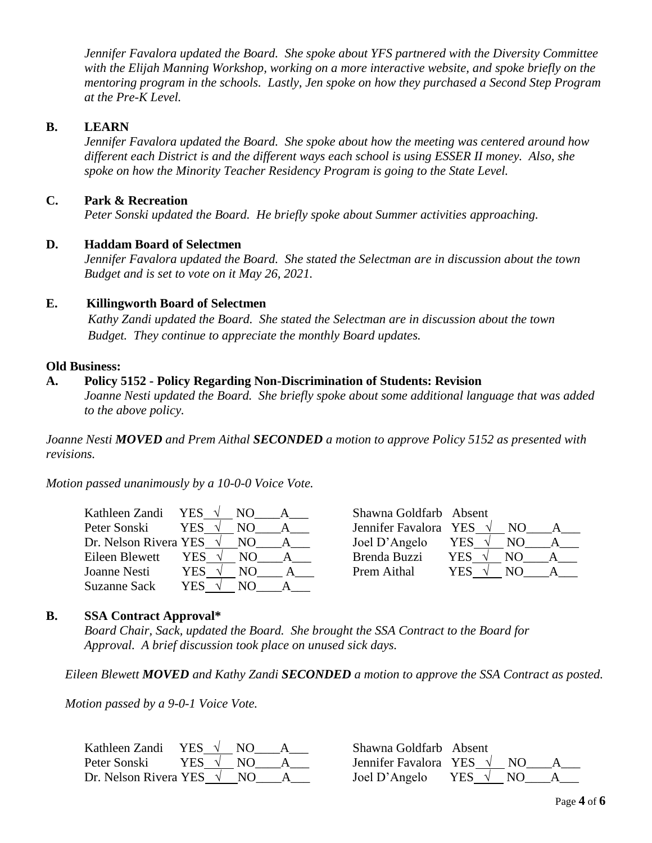*Jennifer Favalora updated the Board. She spoke about YFS partnered with the Diversity Committee with the Elijah Manning Workshop, working on a more interactive website, and spoke briefly on the mentoring program in the schools. Lastly, Jen spoke on how they purchased a Second Step Program at the Pre-K Level.*

#### **B. LEARN**

*Jennifer Favalora updated the Board. She spoke about how the meeting was centered around how different each District is and the different ways each school is using ESSER II money. Also, she spoke on how the Minority Teacher Residency Program is going to the State Level.*

#### **C. Park & Recreation**

*Peter Sonski updated the Board. He briefly spoke about Summer activities approaching.*

#### **D. Haddam Board of Selectmen**

*Jennifer Favalora updated the Board. She stated the Selectman are in discussion about the town Budget and is set to vote on it May 26, 2021.* 

#### **E. Killingworth Board of Selectmen**

*Kathy Zandi updated the Board. She stated the Selectman are in discussion about the town Budget. They continue to appreciate the monthly Board updates.*

#### **Old Business:**

#### **A. Policy 5152 - Policy Regarding Non-Discrimination of Students: Revision**

*Joanne Nesti updated the Board. She briefly spoke about some additional language that was added to the above policy.* 

*Joanne Nesti MOVED and Prem Aithal SECONDED a motion to approve Policy 5152 as presented with revisions.*

*Motion passed unanimously by a 10-0-0 Voice Vote.*

| Kathleen Zandi YES              |            |     | Shawna Goldfarb Absent |            |     |   |
|---------------------------------|------------|-----|------------------------|------------|-----|---|
| Peter Sonski                    | <b>YES</b> |     | Jennifer Favalora YES  |            | NO. |   |
| Dr. Nelson Rivera YES $\sqrt{}$ |            | NO. | Joel D'Angelo          | YES        | NO. | A |
| Eileen Blewett                  | YES        | NO. | Brenda Buzzi           | <b>YES</b> | NO. |   |
| Joanne Nesti                    | YES        | NO  | Prem Aithal            | YES        | NO. |   |
| Suzanne Sack                    | YES        | NO. |                        |            |     |   |

| Shawna Goldfarb Absent |     |     |  |
|------------------------|-----|-----|--|
| Jennifer Favalora YES  |     | NO. |  |
| Joel D'Angelo          | YES | NО  |  |
| Brenda Buzzi           | YES | NΩ  |  |
| Prem Aithal            | YES | NO  |  |

#### **B. SSA Contract Approval\***

*Board Chair, Sack, updated the Board. She brought the SSA Contract to the Board for Approval. A brief discussion took place on unused sick days.* 

*Eileen Blewett MOVED and Kathy Zandi SECONDED a motion to approve the SSA Contract as posted.*

*Motion passed by a 9-0-1 Voice Vote.*

| Kathleen Zandi                    | YES $\sqrt{ }$ | NO. | Shawna Goldfarb Absent                 |  |
|-----------------------------------|----------------|-----|----------------------------------------|--|
| Peter Sonski                      | YES $\sqrt{ }$ | NO. | Jennifer Favalora YES $\sqrt{}$<br>NO. |  |
| Dr. Nelson Rivera YES $\sqrt{NQ}$ |                |     | Joel D'Angelo<br>YES $\vee$ NO         |  |

| Shawna Goldfarb Absent                    |  |  |
|-------------------------------------------|--|--|
| Jennifer Favalora YES $\sqrt{N}$ NO       |  |  |
| $\text{I}$ oel D'Angelo YES $\sqrt{N}$ NO |  |  |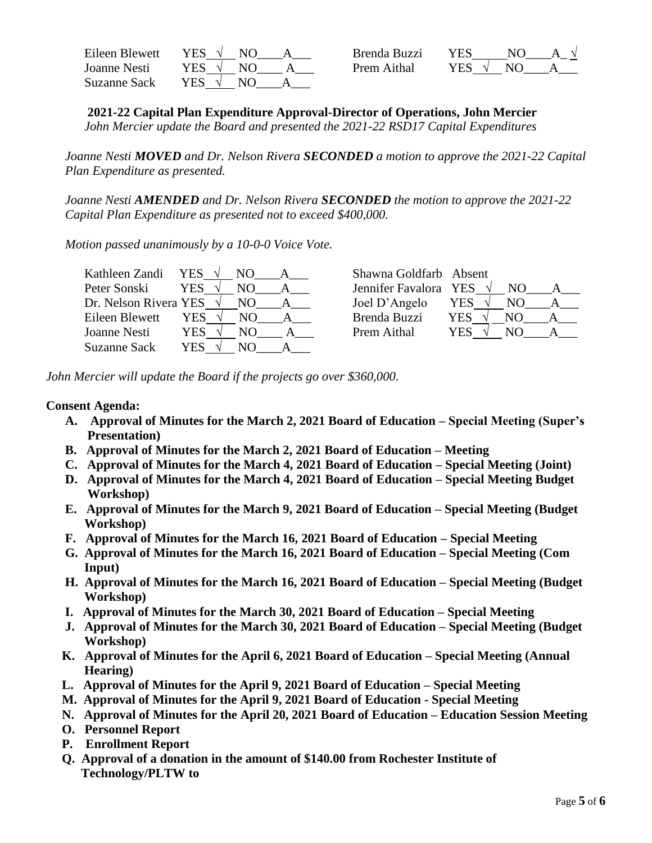| Eileen Blewett | VFS -<br>N <sub>O</sub> | Brenda Buzzi | <b>YES</b> | $N\Omega$ |  |
|----------------|-------------------------|--------------|------------|-----------|--|
| Joanne Nesti   | YES .<br>NΩ             | Prem Aithal  | <b>YES</b> | NO        |  |
| Suzanne Sack   | YES.                    |              |            |           |  |

**2021-22 Capital Plan Expenditure Approval-Director of Operations, John Mercier**

*John Mercier update the Board and presented the 2021-22 RSD17 Capital Expenditures*

*Joanne Nesti MOVED and Dr. Nelson Rivera SECONDED a motion to approve the 2021-22 Capital Plan Expenditure as presented.*

*Joanne Nesti AMENDED and Dr. Nelson Rivera SECONDED the motion to approve the 2021-22 Capital Plan Expenditure as presented not to exceed \$400,000.*

*Motion passed unanimously by a 10-0-0 Voice Vote.*

| Kathleen Zandi        | YES<br>NO.  | Shawna Goldfarb Absent |            |
|-----------------------|-------------|------------------------|------------|
| Peter Sonski          | <b>YES</b>  | Jennifer Favalora YES  |            |
| Dr. Nelson Rivera YES | NO.         | Joel D'Angelo          | YES<br>NO. |
| Eileen Blewett        | YES<br>NO.  | Brenda Buzzi           | YES<br>N() |
| Joanne Nesti          | YES.<br>NO. | Prem Aithal            | YES        |
| <b>Suzanne Sack</b>   | YES         |                        |            |

*John Mercier will update the Board if the projects go over \$360,000.*

### **Consent Agenda:**

- **A. Approval of Minutes for the March 2, 2021 Board of Education – Special Meeting (Super's Presentation)**
- **B. Approval of Minutes for the March 2, 2021 Board of Education – Meeting**
- **C. Approval of Minutes for the March 4, 2021 Board of Education – Special Meeting (Joint)**
- **D. Approval of Minutes for the March 4, 2021 Board of Education – Special Meeting Budget Workshop)**
- **E. Approval of Minutes for the March 9, 2021 Board of Education – Special Meeting (Budget Workshop)**
- **F. Approval of Minutes for the March 16, 2021 Board of Education – Special Meeting**
- **G. Approval of Minutes for the March 16, 2021 Board of Education – Special Meeting (Com Input)**
- **H. Approval of Minutes for the March 16, 2021 Board of Education – Special Meeting (Budget Workshop)**
- **I. Approval of Minutes for the March 30, 2021 Board of Education – Special Meeting**
- **J. Approval of Minutes for the March 30, 2021 Board of Education – Special Meeting (Budget Workshop)**
- **K. Approval of Minutes for the April 6, 2021 Board of Education – Special Meeting (Annual Hearing)**
- **L. Approval of Minutes for the April 9, 2021 Board of Education – Special Meeting**
- **M. Approval of Minutes for the April 9, 2021 Board of Education - Special Meeting**
- **N. Approval of Minutes for the April 20, 2021 Board of Education – Education Session Meeting**
- **O. Personnel Report**
- **P. Enrollment Report**
- **Q. Approval of a donation in the amount of \$140.00 from Rochester Institute of Technology/PLTW to**